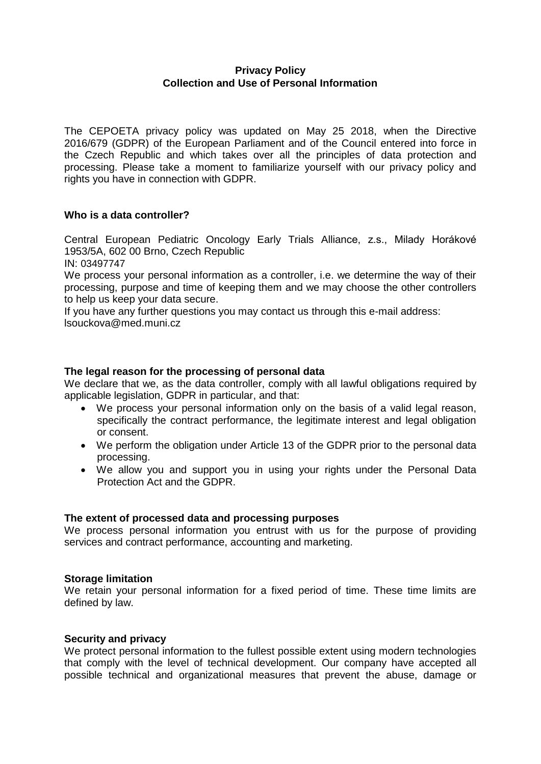# **Privacy Policy Collection and Use of Personal Information**

The CEPOETA privacy policy was updated on May 25 2018, when the Directive 2016/679 (GDPR) of the European Parliament and of the Council entered into force in the Czech Republic and which takes over all the principles of data protection and processing. Please take a moment to familiarize yourself with our privacy policy and rights you have in connection with GDPR.

# **Who is a data controller?**

Central European Pediatric Oncology Early Trials Alliance, z.s., Milady Horákové 1953/5A, 602 00 Brno, Czech Republic

IN: 03497747

We process your personal information as a controller, i.e. we determine the way of their processing, purpose and time of keeping them and we may choose the other controllers to help us keep your data secure.

If you have any further questions you may contact us through this e-mail address: lsouckova@med.muni.cz

# **The legal reason for the processing of personal data**

We declare that we, as the data controller, comply with all lawful obligations required by applicable legislation, GDPR in particular, and that:

- We process your personal information only on the basis of a valid legal reason, specifically the contract performance, the legitimate interest and legal obligation or consent.
- We perform the obligation under Article 13 of the GDPR prior to the personal data processing.
- We allow you and support you in using your rights under the Personal Data Protection Act and the GDPR.

# **The extent of processed data and processing purposes**

We process personal information you entrust with us for the purpose of providing services and contract performance, accounting and marketing.

# **Storage limitation**

We retain your personal information for a fixed period of time. These time limits are defined by law.

# **Security and privacy**

We protect personal information to the fullest possible extent using modern technologies that comply with the level of technical development. Our company have accepted all possible technical and organizational measures that prevent the abuse, damage or